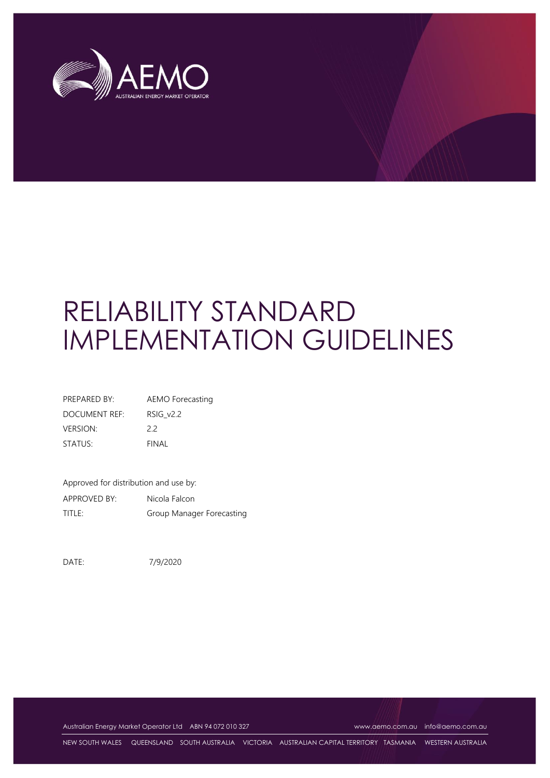

# RELIABILITY STANDARD IMPLEMENTATION GUIDELINES

| PREPARED BY:    | AEMO Forecasting |
|-----------------|------------------|
| DOCUMENT REF:   | RSIG v2.2        |
| <b>VERSION:</b> | 22               |
| STATUS:         | FINAL            |

Approved for distribution and use by: APPROVED BY: Nicola Falcon TITLE: Group Manager Forecasting

DATE: 7/9/2020

Australian Energy Market Operator Ltd ABN 94 072 010 327 [www.aemo.com.au](http://www.aemo.com.au/) [info@aemo.com.au](mailto:info@aemo.com.au)

NEW SOUTH WALES QUEENSLAND SOUTH AUSTRALIA VICTORIA AUSTRALIAN CAPITAL TERRITORY TASMANIA WESTERN AUSTRALIA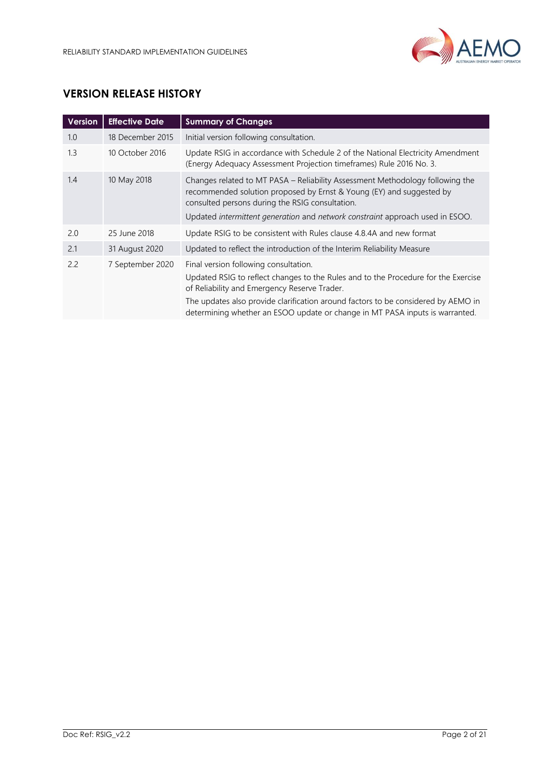

# **VERSION RELEASE HISTORY**

| <b>Version</b> | <b>Effective Date</b> | <b>Summary of Changes</b>                                                                                                                                                                                                                                                                                                                        |
|----------------|-----------------------|--------------------------------------------------------------------------------------------------------------------------------------------------------------------------------------------------------------------------------------------------------------------------------------------------------------------------------------------------|
| 1.0            | 18 December 2015      | Initial version following consultation.                                                                                                                                                                                                                                                                                                          |
| 1.3            | 10 October 2016       | Update RSIG in accordance with Schedule 2 of the National Electricity Amendment<br>(Energy Adequacy Assessment Projection timeframes) Rule 2016 No. 3.                                                                                                                                                                                           |
| 1.4            | 10 May 2018           | Changes related to MT PASA – Reliability Assessment Methodology following the<br>recommended solution proposed by Ernst & Young (EY) and suggested by<br>consulted persons during the RSIG consultation.<br>Updated intermittent generation and network constraint approach used in ESOO.                                                        |
| 2.0            | 25 June 2018          | Update RSIG to be consistent with Rules clause 4.8.4A and new format                                                                                                                                                                                                                                                                             |
| 2.1            | 31 August 2020        | Updated to reflect the introduction of the Interim Reliability Measure                                                                                                                                                                                                                                                                           |
| 2.2            | 7 September 2020      | Final version following consultation.<br>Updated RSIG to reflect changes to the Rules and to the Procedure for the Exercise<br>of Reliability and Emergency Reserve Trader.<br>The updates also provide clarification around factors to be considered by AEMO in<br>determining whether an ESOO update or change in MT PASA inputs is warranted. |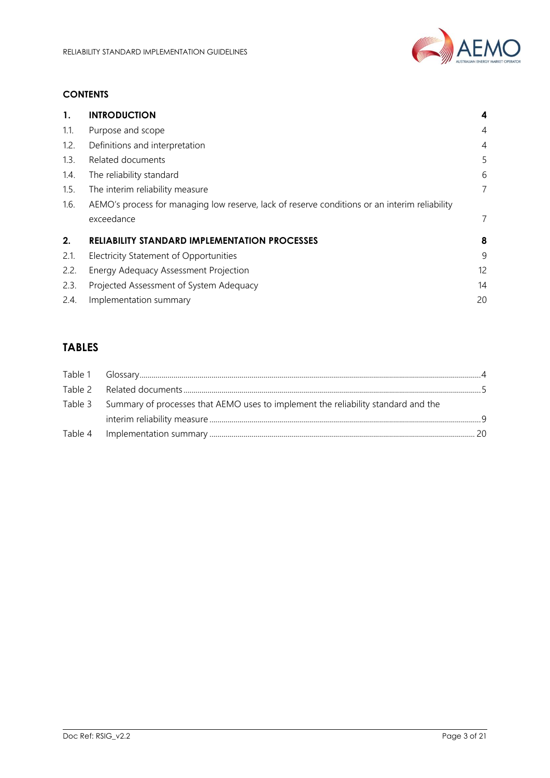

#### **CONTENTS**

| 1.   | <b>INTRODUCTION</b>                                                                           |                |
|------|-----------------------------------------------------------------------------------------------|----------------|
| 1.1. | Purpose and scope                                                                             | $\overline{4}$ |
| 1.2. | Definitions and interpretation                                                                | $\overline{4}$ |
| 1.3. | Related documents                                                                             | 5              |
| 1.4. | The reliability standard                                                                      | 6              |
| 1.5. | The interim reliability measure                                                               | 7              |
| 1.6. | AEMO's process for managing low reserve, lack of reserve conditions or an interim reliability |                |
|      | exceedance                                                                                    | 7              |
| 2.   | <b>RELIABILITY STANDARD IMPLEMENTATION PROCESSES</b>                                          | 8              |
| 2.1. | Electricity Statement of Opportunities                                                        | 9              |
| 2.2. | Energy Adequacy Assessment Projection                                                         | 12             |
| 2.3. | Projected Assessment of System Adequacy                                                       | 14             |
| 2.4. | Implementation summary                                                                        | 20             |

# **TABLES**

| Table 3 Summary of processes that AEMO uses to implement the reliability standard and the |  |
|-------------------------------------------------------------------------------------------|--|
|                                                                                           |  |
|                                                                                           |  |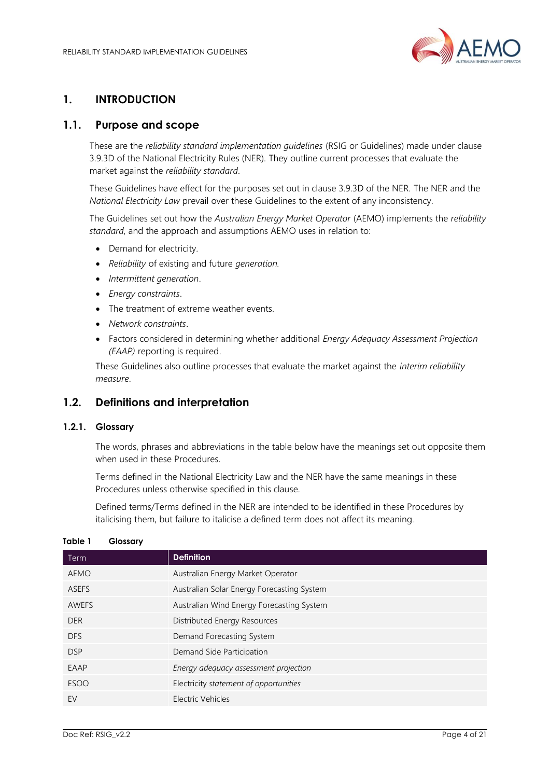

# <span id="page-3-0"></span>**1. INTRODUCTION**

## <span id="page-3-1"></span>**1.1. Purpose and scope**

These are the *reliability standard implementation guidelines* (RSIG or Guidelines) made under clause 3.9.3D of the National Electricity Rules (NER). They outline current processes that evaluate the market against the *reliability standard*.

These Guidelines have effect for the purposes set out in clause 3.9.3D of the NER. The NER and the *National Electricity Law* prevail over these Guidelines to the extent of any inconsistency.

The Guidelines set out how the *Australian Energy Market Operator* (AEMO) implements the *reliability standard*, and the approach and assumptions AEMO uses in relation to:

- Demand for electricity.
- *Reliability* of existing and future *generation.*
- *Intermittent generation*.
- *Energy constraints*.
- The treatment of extreme weather events.
- *Network constraints*.
- Factors considered in determining whether additional *Energy Adequacy Assessment Projection (EAAP)* reporting is required.

These Guidelines also outline processes that evaluate the market against the *interim reliability measure*.

## <span id="page-3-2"></span>**1.2. Definitions and interpretation**

#### **1.2.1. Glossary**

The words, phrases and abbreviations in the table below have the meanings set out opposite them when used in these Procedures.

Terms defined in the National Electricity Law and the NER have the same meanings in these Procedures unless otherwise specified in this clause.

Defined terms/Terms defined in the NER are intended to be identified in these Procedures by italicising them, but failure to italicise a defined term does not affect its meaning.

| Term         | <b>Definition</b>                          |
|--------------|--------------------------------------------|
| AEMO         | Australian Energy Market Operator          |
| <b>ASEFS</b> | Australian Solar Energy Forecasting System |
| <b>AWEFS</b> | Australian Wind Energy Forecasting System  |
| <b>DER</b>   | Distributed Energy Resources               |
| <b>DFS</b>   | Demand Forecasting System                  |
| <b>DSP</b>   | Demand Side Participation                  |
| EAAP         | Energy adequacy assessment projection      |
| <b>ESOO</b>  | Electricity statement of opportunities     |
| EV           | Electric Vehicles                          |

#### <span id="page-3-3"></span>**Table 1 Glossary**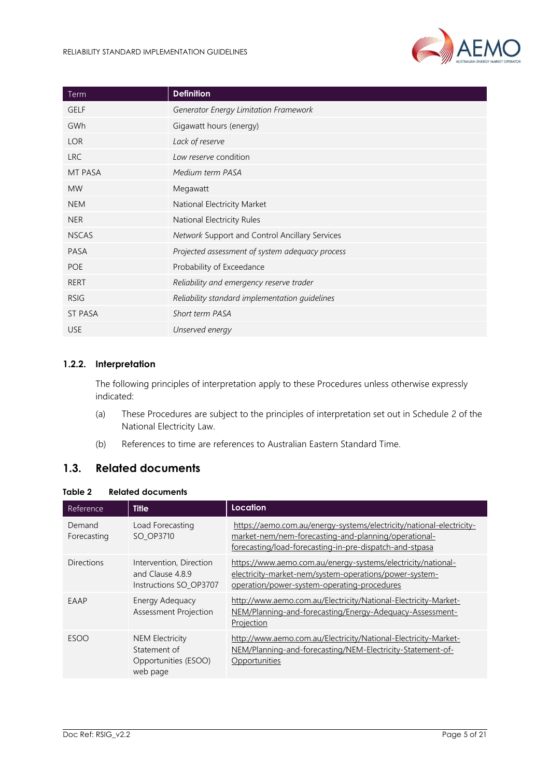

| Term           | <b>Definition</b>                               |
|----------------|-------------------------------------------------|
| <b>GELF</b>    | Generator Energy Limitation Framework           |
| GWh            | Gigawatt hours (energy)                         |
| <b>LOR</b>     | Lack of reserve                                 |
| <b>LRC</b>     | Low reserve condition                           |
| MT PASA        | Medium term PASA                                |
| <b>MW</b>      | Megawatt                                        |
| <b>NEM</b>     | National Electricity Market                     |
| <b>NER</b>     | National Electricity Rules                      |
| <b>NSCAS</b>   | Network Support and Control Ancillary Services  |
| <b>PASA</b>    | Projected assessment of system adequacy process |
| <b>POE</b>     | Probability of Exceedance                       |
| RERT           | Reliability and emergency reserve trader        |
| <b>RSIG</b>    | Reliability standard implementation guidelines  |
| <b>ST PASA</b> | Short term PASA                                 |
| <b>USE</b>     | Unserved energy                                 |

#### **1.2.2. Interpretation**

The following principles of interpretation apply to these Procedures unless otherwise expressly indicated:

- (a) These Procedures are subject to the principles of interpretation set out in Schedule 2 of the National Electricity Law.
- (b) References to time are references to Australian Eastern Standard Time.

## <span id="page-4-0"></span>**1.3. Related documents**

#### <span id="page-4-1"></span>**Table 2 Related documents**

| Reference             | <b>Title</b>                                                               | Location                                                                                                                                                                                |
|-----------------------|----------------------------------------------------------------------------|-----------------------------------------------------------------------------------------------------------------------------------------------------------------------------------------|
| Demand<br>Forecasting | Load Forecasting<br>SO OP3710                                              | https://aemo.com.au/energy-systems/electricity/national-electricity-<br>market-nem/nem-forecasting-and-planning/operational-<br>forecasting/load-forecasting-in-pre-dispatch-and-stpasa |
| Directions            | Intervention, Direction<br>and Clause 4.8.9<br>Instructions SO OP3707      | https://www.aemo.com.au/energy-systems/electricity/national-<br>electricity-market-nem/system-operations/power-system-<br>operation/power-system-operating-procedures                   |
| EAAP                  | Energy Adequacy<br>Assessment Projection                                   | http://www.aemo.com.au/Electricity/National-Electricity-Market-<br>NEM/Planning-and-forecasting/Energy-Adequacy-Assessment-<br>Projection                                               |
| <b>ESOO</b>           | <b>NEM Electricity</b><br>Statement of<br>Opportunities (ESOO)<br>web page | http://www.aemo.com.au/Electricity/National-Electricity-Market-<br>NEM/Planning-and-forecasting/NEM-Electricity-Statement-of-<br>Opportunities                                          |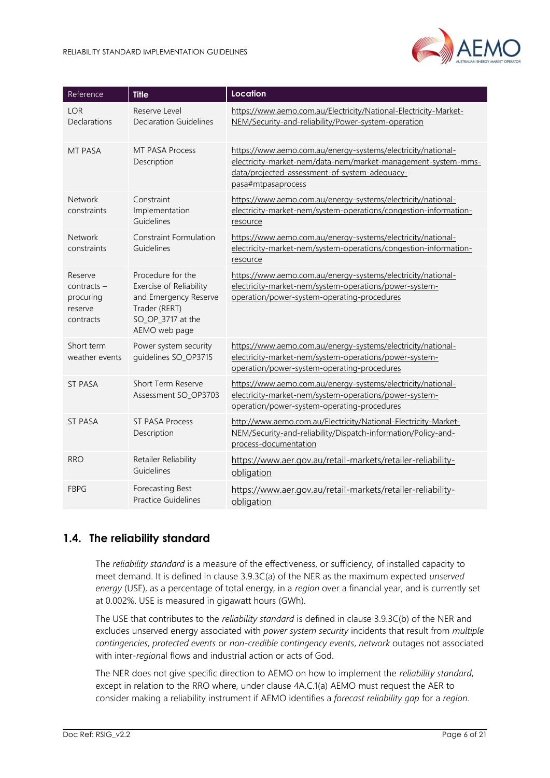

| Reference                                                     | <b>Title</b>                                                                                                                 | Location                                                                                                                                                                                             |
|---------------------------------------------------------------|------------------------------------------------------------------------------------------------------------------------------|------------------------------------------------------------------------------------------------------------------------------------------------------------------------------------------------------|
| LOR<br>Declarations                                           | Reserve Level<br>Declaration Guidelines                                                                                      | https://www.aemo.com.au/Electricity/National-Electricity-Market-<br>NEM/Security-and-reliability/Power-system-operation                                                                              |
| <b>MT PASA</b>                                                | <b>MT PASA Process</b><br>Description                                                                                        | https://www.aemo.com.au/energy-systems/electricity/national-<br>electricity-market-nem/data-nem/market-management-system-mms-<br>data/projected-assessment-of-system-adequacy-<br>pasa#mtpasaprocess |
| <b>Network</b><br>constraints                                 | Constraint<br>Implementation<br>Guidelines                                                                                   | https://www.aemo.com.au/energy-systems/electricity/national-<br>electricity-market-nem/system-operations/congestion-information-<br>resource                                                         |
| Network<br>constraints                                        | <b>Constraint Formulation</b><br>Guidelines                                                                                  | https://www.aemo.com.au/energy-systems/electricity/national-<br>electricity-market-nem/system-operations/congestion-information-<br>resource                                                         |
| Reserve<br>$contracts -$<br>procuring<br>reserve<br>contracts | Procedure for the<br>Exercise of Reliability<br>and Emergency Reserve<br>Trader (RERT)<br>SO_OP_3717 at the<br>AEMO web page | https://www.aemo.com.au/energy-systems/electricity/national-<br>electricity-market-nem/system-operations/power-system-<br>operation/power-system-operating-procedures                                |
| Short term<br>weather events                                  | Power system security<br>guidelines SO_OP3715                                                                                | https://www.aemo.com.au/energy-systems/electricity/national-<br>electricity-market-nem/system-operations/power-system-<br>operation/power-system-operating-procedures                                |
| <b>ST PASA</b>                                                | Short Term Reserve<br>Assessment SO_OP3703                                                                                   | https://www.aemo.com.au/energy-systems/electricity/national-<br>electricity-market-nem/system-operations/power-system-<br>operation/power-system-operating-procedures                                |
| <b>ST PASA</b>                                                | <b>ST PASA Process</b><br>Description                                                                                        | http://www.aemo.com.au/Electricity/National-Electricity-Market-<br>NEM/Security-and-reliability/Dispatch-information/Policy-and-<br>process-documentation                                            |
| <b>RRO</b>                                                    | Retailer Reliability<br>Guidelines                                                                                           | https://www.aer.gov.au/retail-markets/retailer-reliability-<br>obligation                                                                                                                            |
| <b>FBPG</b>                                                   | Forecasting Best<br><b>Practice Guidelines</b>                                                                               | https://www.aer.gov.au/retail-markets/retailer-reliability-<br>obligation                                                                                                                            |

# <span id="page-5-0"></span>**1.4. The reliability standard**

The *reliability standard* is a measure of the effectiveness, or sufficiency, of installed capacity to meet demand. It is defined in clause 3.9.3C(a) of the NER as the maximum expected *unserved energy* (USE), as a percentage of total energy, in a *region* over a financial year, and is currently set at 0.002%. USE is measured in gigawatt hours (GWh).

The USE that contributes to the *reliability standard* is defined in clause 3.9.3C(b) of the NER and excludes unserved energy associated with *power system security* incidents that result from *multiple contingencies, protected events* or *non-credible contingency events*, *network* outages not associated with inter-*region*al flows and industrial action or acts of God.

The NER does not give specific direction to AEMO on how to implement the *reliability standard*, except in relation to the RRO where, under clause 4A.C.1(a) AEMO must request the AER to consider making a reliability instrument if AEMO identifies a *forecast reliability gap* for a *region*.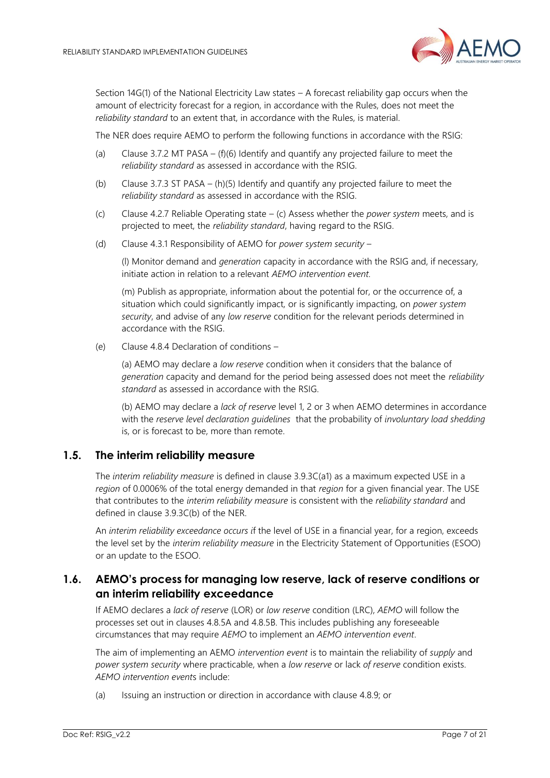

Section 14G(1) of the National Electricity Law states – A forecast reliability gap occurs when the amount of electricity forecast for a region, in accordance with the Rules, does not meet the *reliability standard* to an extent that, in accordance with the Rules, is material.

The NER does require AEMO to perform the following functions in accordance with the RSIG:

- (a) Clause 3.7.2 MT PASA (f)(6) Identify and quantify any projected failure to meet the *reliability standard* as assessed in accordance with the RSIG.
- (b) Clause 3.7.3 ST PASA (h)(5) Identify and quantify any projected failure to meet the *reliability standard* as assessed in accordance with the RSIG.
- (c) Clause 4.2.7 Reliable Operating state (c) Assess whether the *power system* meets, and is projected to meet, the *reliability standard*, having regard to the RSIG.
- (d) Clause 4.3.1 Responsibility of AEMO for *power system security* –

(l) Monitor demand and *generation* capacity in accordance with the RSIG and, if necessary, initiate action in relation to a relevant *AEMO intervention event.*

(m) Publish as appropriate, information about the potential for, or the occurrence of, a situation which could significantly impact, or is significantly impacting, on *power system security*, and advise of any *low reserve* condition for the relevant periods determined in accordance with the RSIG.

(e) Clause 4.8.4 Declaration of conditions –

(a) AEMO may declare a *low reserve* condition when it considers that the balance of *generation* capacity and demand for the period being assessed does not meet the *reliability standard* as assessed in accordance with the RSIG.

(b) AEMO may declare a *lack of reserve* level 1, 2 or 3 when AEMO determines in accordance with the *reserve level declaration guidelines* that the probability of *involuntary load shedding* is, or is forecast to be, more than remote.

#### <span id="page-6-0"></span>**1.5. The interim reliability measure**

The *interim reliability measure* is defined in clause 3.9.3C(a1) as a maximum expected USE in a *region* of 0.0006% of the total energy demanded in that *region* for a given financial year. The USE that contributes to the *interim reliability measure* is consistent with the *reliability standard* and defined in clause 3.9.3C(b) of the NER.

An *interim reliability exceedance occurs i*f the level of USE in a financial year, for a region, exceeds the level set by the *interim reliability measure* in the Electricity Statement of Opportunities (ESOO) or an update to the ESOO.

## <span id="page-6-1"></span>**1.6. AEMO's process for managing low reserve, lack of reserve conditions or an interim reliability exceedance**

If AEMO declares a *lack of reserve* (LOR) or *low reserve* condition (LRC), *AEMO* will follow the processes set out in clauses 4.8.5A and 4.8.5B. This includes publishing any foreseeable circumstances that may require *AEMO* to implement an *AEMO intervention event*.

The aim of implementing an AEMO *intervention event* is to maintain the reliability of *supply* and *power system security* where practicable, when a *low reserve* or lack *of reserve* condition exists. *AEMO intervention event*s include:

(a) Issuing an instruction or direction in accordance with clause 4.8.9; or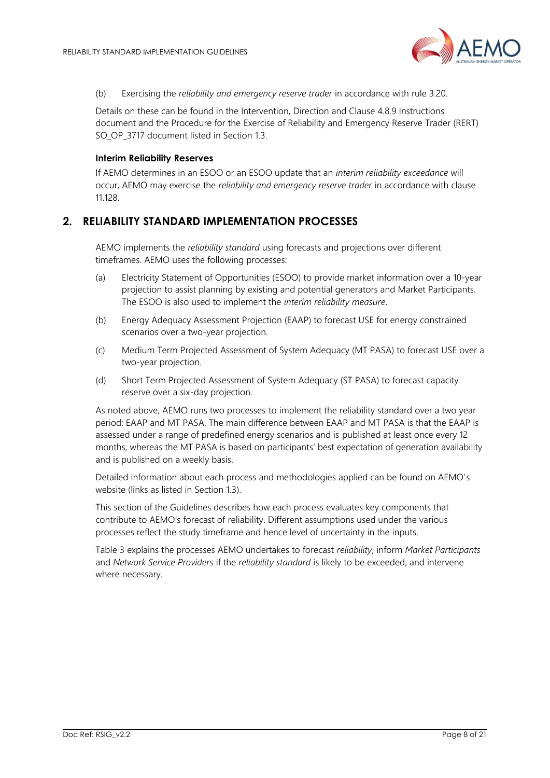

(b) Exercising the *reliability and emergency reserve trader* in accordance with rule 3.20.

Details on these can be found in the Intervention, Direction and Clause 4.8.9 Instructions document and the Procedure for the Exercise of Reliability and Emergency Reserve Trader (RERT) SO OP 3717 document listed in Section [1.3.](#page-4-0)

#### **Interim Reliability Reserves**

If AEMO determines in an ESOO or an ESOO update that an *interim reliability exceedance* will occur, AEMO may exercise the *reliability and emergency reserve trader* in accordance with clause 11.128.

## <span id="page-7-0"></span>**2. RELIABILITY STANDARD IMPLEMENTATION PROCESSES**

AEMO implements the *reliability standard* using forecasts and projections over different timeframes. AEMO uses the following processes:

- (a) Electricity Statement of Opportunities (ESOO) to provide market information over a 10-year projection to assist planning by existing and potential generators and Market Participants. The ESOO is also used to implement the *interim reliability measure*.
- (b) Energy Adequacy Assessment Projection (EAAP) to forecast USE for energy constrained scenarios over a two-year projection.
- (c) Medium Term Projected Assessment of System Adequacy (MT PASA) to forecast USE over a two-year projection.
- (d) Short Term Projected Assessment of System Adequacy (ST PASA) to forecast capacity reserve over a six-day projection.

As noted above, AEMO runs two processes to implement the reliability standard over a two year period: EAAP and MT PASA. The main difference between EAAP and MT PASA is that the EAAP is assessed under a range of predefined energy scenarios and is published at least once every 12 months, whereas the MT PASA is based on participants' best expectation of generation availability and is published on a weekly basis.

Detailed information about each process and methodologies applied can be found on AEMO's website (links as listed in Section [1.3\)](#page-4-0).

This section of the Guidelines describes how each process evaluates key components that contribute to AEMO's forecast of reliability. Different assumptions used under the various processes reflect the study timeframe and hence level of uncertainty in the inputs.

[Table 3](#page-8-1) explains the processes AEMO undertakes to forecast *reliability*, inform *Market Participants* and *Network Service Providers* if the *reliability standard* is likely to be exceeded, and intervene where necessary.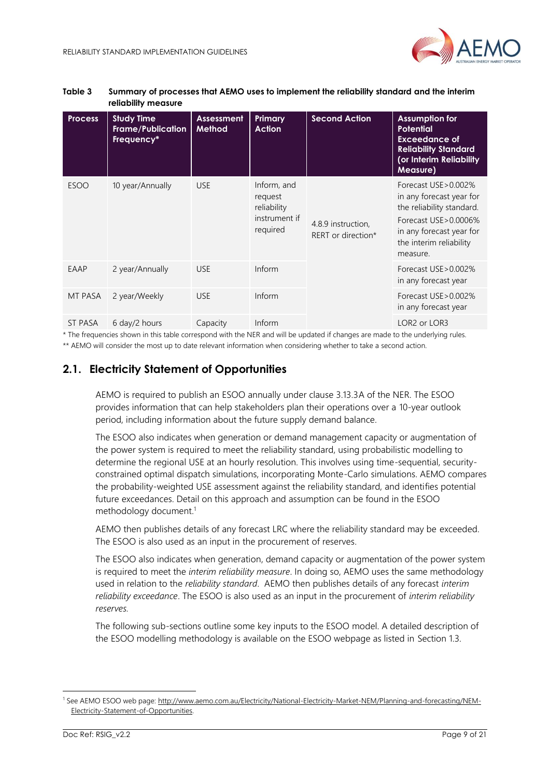

| <b>Process</b> | <b>Study Time</b><br><b>Frame/Publication</b><br>Frequency* | <b>Assessment</b><br>Method | Primary<br><b>Action</b>                                           | <b>Second Action</b>                     | <b>Assumption for</b><br><b>Potential</b><br><b>Exceedance of</b><br><b>Reliability Standard</b><br>(or Interim Reliability<br><b>Measure</b> )                             |
|----------------|-------------------------------------------------------------|-----------------------------|--------------------------------------------------------------------|------------------------------------------|-----------------------------------------------------------------------------------------------------------------------------------------------------------------------------|
| <b>ESOO</b>    | 10 year/Annually                                            | <b>USE</b>                  | Inform, and<br>request<br>reliability<br>instrument if<br>required | 4.8.9 instruction,<br>RERT or direction* | Forecast USE > 0.002%<br>in any forecast year for<br>the reliability standard.<br>Forecast USE > 0.0006%<br>in any forecast year for<br>the interim reliability<br>measure. |
| EAAP           | 2 year/Annually                                             | <b>USE</b>                  | Inform                                                             |                                          | Forecast USE > 0.002%<br>in any forecast year                                                                                                                               |
| MT PASA        | 2 year/Weekly                                               | <b>USE</b>                  | Inform                                                             |                                          | Forecast USE > 0.002%<br>in any forecast year                                                                                                                               |
| ST PASA        | 6 day/2 hours                                               | Capacity                    | Inform                                                             |                                          | LOR2 or LOR3                                                                                                                                                                |

#### <span id="page-8-1"></span>**Table 3 Summary of processes that AEMO uses to implement the reliability standard and the interim reliability measure**

\* The frequencies shown in this table correspond with the NER and will be updated if changes are made to the underlying rules. \*\* AEMO will consider the most up to date relevant information when considering whether to take a second action.

## <span id="page-8-0"></span>**2.1. Electricity Statement of Opportunities**

AEMO is required to publish an ESOO annually under clause 3.13.3A of the NER. The ESOO provides information that can help stakeholders plan their operations over a 10-year outlook period, including information about the future supply demand balance.

The ESOO also indicates when generation or demand management capacity or augmentation of the power system is required to meet the reliability standard, using probabilistic modelling to determine the regional USE at an hourly resolution. This involves using time-sequential, securityconstrained optimal dispatch simulations, incorporating Monte-Carlo simulations. AEMO compares the probability-weighted USE assessment against the reliability standard, and identifies potential future exceedances. Detail on this approach and assumption can be found in the ESOO methodology document.<sup>1</sup>

AEMO then publishes details of any forecast LRC where the reliability standard may be exceeded. The ESOO is also used as an input in the procurement of reserves.

The ESOO also indicates when generation, demand capacity or augmentation of the power system is required to meet the *interim reliability measure*. In doing so, AEMO uses the same methodology used in relation to the *reliability standard*. AEMO then publishes details of any forecast *interim reliability exceedance*. The ESOO is also used as an input in the procurement of *interim reliability reserves.*

The following sub-sections outline some key inputs to the ESOO model. A detailed description of the ESOO modelling methodology is available on the ESOO webpage as listed in Section [1.3.](#page-4-0)

<sup>1</sup> See AEMO ESOO web page: [http://www.aemo.com.au/Electricity/National-Electricity-Market-NEM/Planning-and-forecasting/NEM-](http://www.aemo.com.au/Electricity/National-Electricity-Market-NEM/Planning-and-forecasting/NEM-Electricity-Statement-of-Opportunities)[Electricity-Statement-of-Opportunities.](http://www.aemo.com.au/Electricity/National-Electricity-Market-NEM/Planning-and-forecasting/NEM-Electricity-Statement-of-Opportunities)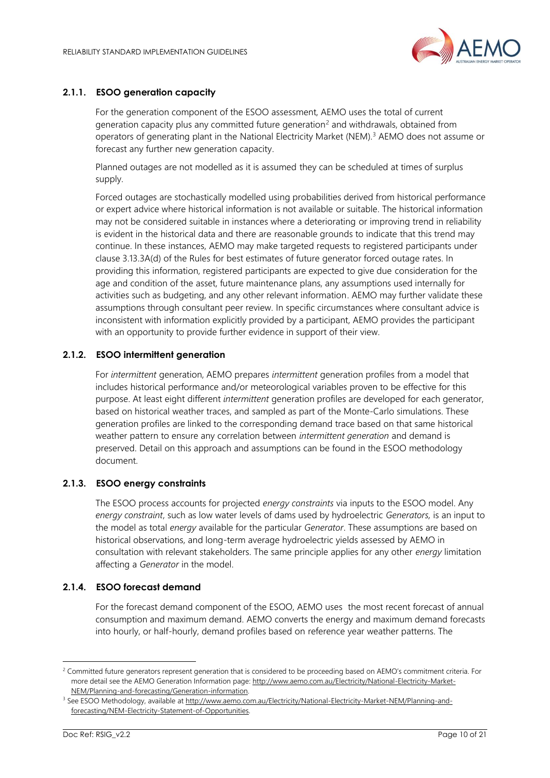

#### **2.1.1. ESOO generation capacity**

For the generation component of the ESOO assessment, AEMO uses the total of current generation capacity plus any committed future generation<sup>2</sup> and withdrawals, obtained from operators of generating plant in the National Electricity Market (NEM).<sup>3</sup> AEMO does not assume or forecast any further new generation capacity.

Planned outages are not modelled as it is assumed they can be scheduled at times of surplus supply.

Forced outages are stochastically modelled using probabilities derived from historical performance or expert advice where historical information is not available or suitable. The historical information may not be considered suitable in instances where a deteriorating or improving trend in reliability is evident in the historical data and there are reasonable grounds to indicate that this trend may continue. In these instances, AEMO may make targeted requests to registered participants under clause 3.13.3A(d) of the Rules for best estimates of future generator forced outage rates. In providing this information, registered participants are expected to give due consideration for the age and condition of the asset, future maintenance plans, any assumptions used internally for activities such as budgeting, and any other relevant information. AEMO may further validate these assumptions through consultant peer review. In specific circumstances where consultant advice is inconsistent with information explicitly provided by a participant, AEMO provides the participant with an opportunity to provide further evidence in support of their view.

#### **2.1.2. ESOO intermittent generation**

For *intermittent* generation, AEMO prepares *intermittent* generation profiles from a model that includes historical performance and/or meteorological variables proven to be effective for this purpose. At least eight different *intermittent* generation profiles are developed for each generator, based on historical weather traces, and sampled as part of the Monte-Carlo simulations. These generation profiles are linked to the corresponding demand trace based on that same historical weather pattern to ensure any correlation between *intermittent generation* and demand is preserved. Detail on this approach and assumptions can be found in the ESOO methodology document.

#### **2.1.3. ESOO energy constraints**

The ESOO process accounts for projected *energy constraints* via inputs to the ESOO model. Any *energy constraint*, such as low water levels of dams used by hydroelectric *Generators,* is an input to the model as total *energy* available for the particular *Generator*. These assumptions are based on historical observations, and long-term average hydroelectric yields assessed by AEMO in consultation with relevant stakeholders. The same principle applies for any other *energy* limitation affecting a *Generator* in the model.

#### <span id="page-9-0"></span>**2.1.4. ESOO forecast demand**

For the forecast demand component of the ESOO, AEMO uses the most recent forecast of annual consumption and maximum demand. AEMO converts the energy and maximum demand forecasts into hourly, or half-hourly, demand profiles based on reference year weather patterns. The

<sup>&</sup>lt;sup>2</sup> Committed future generators represent generation that is considered to be proceeding based on AEMO's commitment criteria. For more detail see the AEMO Generation Information page[: http://www.aemo.com.au/Electricity/National-Electricity-Market-](http://www.aemo.com.au/Electricity/National-Electricity-Market-NEM/Planning-and-forecasting/Generation-information)[NEM/Planning-and-forecasting/Generation-information.](http://www.aemo.com.au/Electricity/National-Electricity-Market-NEM/Planning-and-forecasting/Generation-information)

<sup>&</sup>lt;sup>3</sup> See ESOO Methodology, available at [http://www.aemo.com.au/Electricity/National-Electricity-Market-NEM/Planning-and](http://www.aemo.com.au/Electricity/National-Electricity-Market-NEM/Planning-and-forecasting/NEM-Electricity-Statement-of-Opportunities)[forecasting/NEM-Electricity-Statement-of-Opportunities.](http://www.aemo.com.au/Electricity/National-Electricity-Market-NEM/Planning-and-forecasting/NEM-Electricity-Statement-of-Opportunities)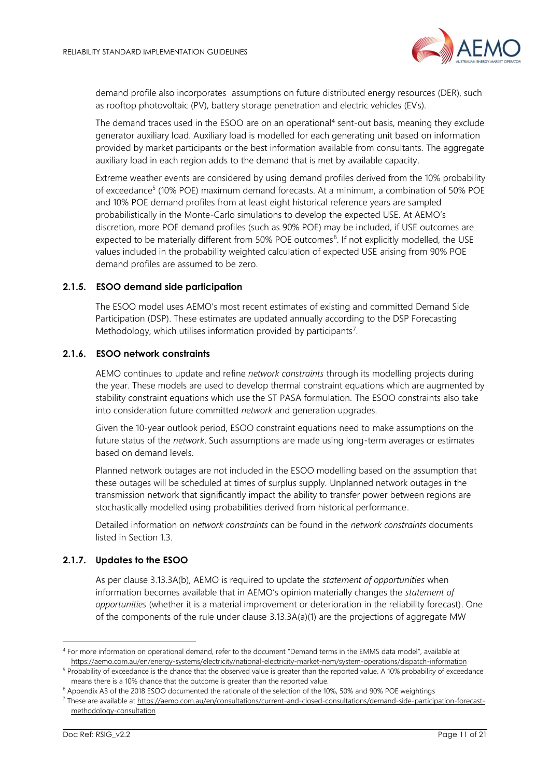

demand profile also incorporates assumptions on future distributed energy resources (DER), such as rooftop photovoltaic (PV), battery storage penetration and electric vehicles (EVs).

The demand traces used in the ESOO are on an operational<sup>4</sup> sent-out basis, meaning they exclude generator auxiliary load. Auxiliary load is modelled for each generating unit based on information provided by market participants or the best information available from consultants. The aggregate auxiliary load in each region adds to the demand that is met by available capacity.

Extreme weather events are considered by using demand profiles derived from the 10% probability of exceedance<sup>5</sup> (10% POE) maximum demand forecasts. At a minimum, a combination of 50% POE and 10% POE demand profiles from at least eight historical reference years are sampled probabilistically in the Monte-Carlo simulations to develop the expected USE. At AEMO's discretion, more POE demand profiles (such as 90% POE) may be included, if USE outcomes are expected to be materially different from 50% POE outcomes<sup>6</sup>. If not explicitly modelled, the USE values included in the probability weighted calculation of expected USE arising from 90% POE demand profiles are assumed to be zero.

#### **2.1.5. ESOO demand side participation**

The ESOO model uses AEMO's most recent estimates of existing and committed Demand Side Participation (DSP). These estimates are updated annually according to the DSP Forecasting Methodology, which utilises information provided by participants<sup>7</sup>.

#### **2.1.6. ESOO network constraints**

AEMO continues to update and refine *network constraints* through its modelling projects during the year. These models are used to develop thermal constraint equations which are augmented by stability constraint equations which use the ST PASA formulation. The ESOO constraints also take into consideration future committed *network* and generation upgrades.

Given the 10-year outlook period, ESOO constraint equations need to make assumptions on the future status of the *network*. Such assumptions are made using long-term averages or estimates based on demand levels.

Planned network outages are not included in the ESOO modelling based on the assumption that these outages will be scheduled at times of surplus supply. Unplanned network outages in the transmission network that significantly impact the ability to transfer power between regions are stochastically modelled using probabilities derived from historical performance.

Detailed information on *network constraints* can be found in the *network constraints* documents listed in Section [1.3.](#page-4-0)

#### **2.1.7. Updates to the ESOO**

As per clause 3.13.3A(b), AEMO is required to update the *statement of opportunities* when information becomes available that in AEMO's opinion materially changes the *statement of opportunities* (whether it is a material improvement or deterioration in the reliability forecast). One of the components of the rule under clause 3.13.3A(a)(1) are the projections of aggregate MW

<sup>4</sup> For more information on operational demand, refer to the document "Demand terms in the EMMS data model", available at <https://aemo.com.au/en/energy-systems/electricity/national-electricity-market-nem/system-operations/dispatch-information>

<sup>&</sup>lt;sup>5</sup> Probability of exceedance is the chance that the observed value is greater than the reported value. A 10% probability of exceedance means there is a 10% chance that the outcome is greater than the reported value.

<sup>6</sup> Appendix A3 of the 2018 ESOO documented the rationale of the selection of the 10%, 50% and 90% POE weightings

<sup>7</sup> These are available a[t https://aemo.com.au/en/consultations/current-and-closed-consultations/demand-side-participation-forecast](https://aemo.com.au/en/consultations/current-and-closed-consultations/demand-side-participation-forecast-methodology-consultation)[methodology-consultation](https://aemo.com.au/en/consultations/current-and-closed-consultations/demand-side-participation-forecast-methodology-consultation)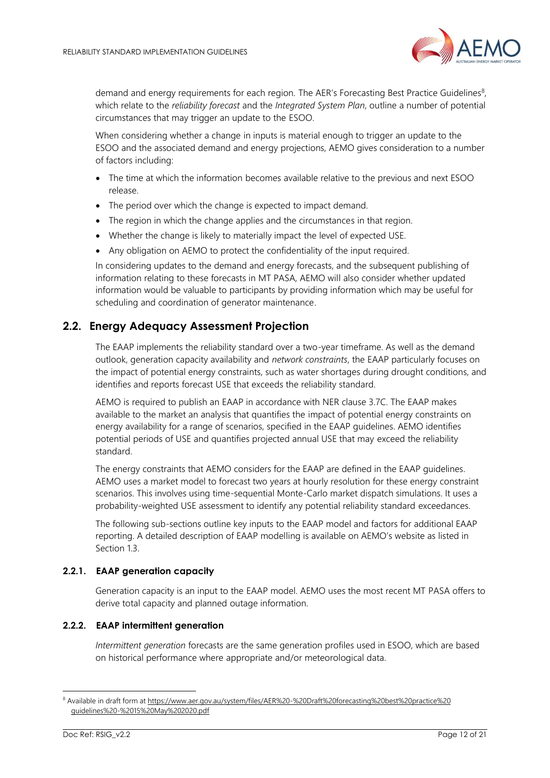

demand and energy requirements for each region. The AER's Forecasting Best Practice Guidelines<sup>8</sup>, which relate to the *reliability forecast* and the *Integrated System Plan*, outline a number of potential circumstances that may trigger an update to the ESOO.

When considering whether a change in inputs is material enough to trigger an update to the ESOO and the associated demand and energy projections, AEMO gives consideration to a number of factors including:

- The time at which the information becomes available relative to the previous and next ESOO release.
- The period over which the change is expected to impact demand.
- The region in which the change applies and the circumstances in that region.
- Whether the change is likely to materially impact the level of expected USE.
- Any obligation on AEMO to protect the confidentiality of the input required.

In considering updates to the demand and energy forecasts, and the subsequent publishing of information relating to these forecasts in MT PASA, AEMO will also consider whether updated information would be valuable to participants by providing information which may be useful for scheduling and coordination of generator maintenance.

## <span id="page-11-0"></span>**2.2. Energy Adequacy Assessment Projection**

The EAAP implements the reliability standard over a two-year timeframe. As well as the demand outlook, generation capacity availability and *network constraints*, the EAAP particularly focuses on the impact of potential energy constraints, such as water shortages during drought conditions, and identifies and reports forecast USE that exceeds the reliability standard.

AEMO is required to publish an EAAP in accordance with NER clause 3.7C. The EAAP makes available to the market an analysis that quantifies the impact of potential energy constraints on energy availability for a range of scenarios, specified in the EAAP guidelines. AEMO identifies potential periods of USE and quantifies projected annual USE that may exceed the reliability standard.

The energy constraints that AEMO considers for the EAAP are defined in the EAAP guidelines. AEMO uses a market model to forecast two years at hourly resolution for these energy constraint scenarios. This involves using time-sequential Monte-Carlo market dispatch simulations. It uses a probability-weighted USE assessment to identify any potential reliability standard exceedances.

The following sub-sections outline key inputs to the EAAP model and factors for additional EAAP reporting. A detailed description of EAAP modelling is available on AEMO's website as listed in Section [1.3.](#page-4-0)

#### **2.2.1. EAAP generation capacity**

Generation capacity is an input to the EAAP model. AEMO uses the most recent MT PASA offers to derive total capacity and planned outage information.

#### **2.2.2. EAAP intermittent generation**

*Intermittent generation* forecasts are the same generation profiles used in ESOO, which are based on historical performance where appropriate and/or meteorological data.

<sup>8</sup> Available in draft form at [https://www.aer.gov.au/system/files/AER%20-%20Draft%20forecasting%20best%20practice%20](https://www.aer.gov.au/system/files/AER%20-%20Draft%20forecasting%20best%20practice%20guidelines%20-%2015%20May%202020.pdf) [guidelines%20-%2015%20May%202020.pdf](https://www.aer.gov.au/system/files/AER%20-%20Draft%20forecasting%20best%20practice%20guidelines%20-%2015%20May%202020.pdf)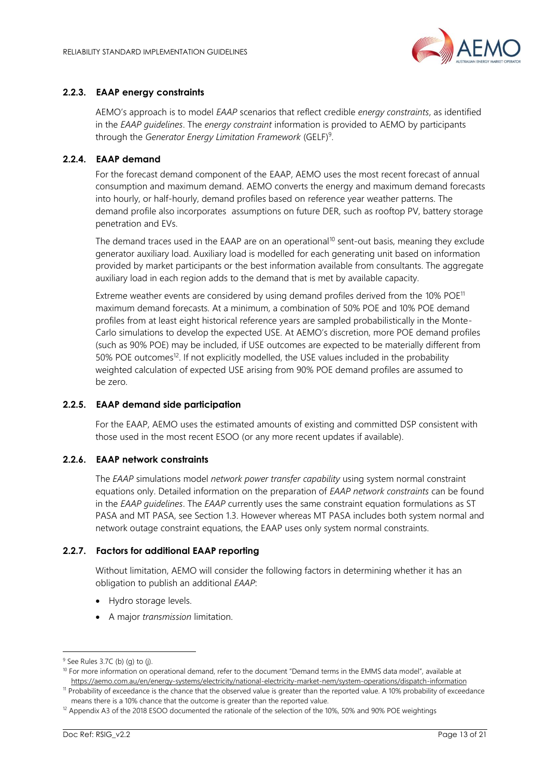

#### **2.2.3. EAAP energy constraints**

AEMO's approach is to model *EAAP* scenarios that reflect credible *energy constraints*, as identified in the *EAAP guidelines*. The *energy constraint* information is provided to AEMO by participants through the *Generator Energy Limitation Framework* (GELF)<sup>9</sup> .

#### **2.2.4. EAAP demand**

For the forecast demand component of the EAAP, AEMO uses the most recent forecast of annual consumption and maximum demand. AEMO converts the energy and maximum demand forecasts into hourly, or half-hourly, demand profiles based on reference year weather patterns. The demand profile also incorporates assumptions on future DER, such as rooftop PV, battery storage penetration and EVs.

The demand traces used in the EAAP are on an operational<sup>10</sup> sent-out basis, meaning they exclude generator auxiliary load. Auxiliary load is modelled for each generating unit based on information provided by market participants or the best information available from consultants. The aggregate auxiliary load in each region adds to the demand that is met by available capacity.

Extreme weather events are considered by using demand profiles derived from the  $10\%$  POE<sup>11</sup> maximum demand forecasts. At a minimum, a combination of 50% POE and 10% POE demand profiles from at least eight historical reference years are sampled probabilistically in the Monte-Carlo simulations to develop the expected USE. At AEMO's discretion, more POE demand profiles (such as 90% POE) may be included, if USE outcomes are expected to be materially different from 50% POE outcomes<sup>12</sup>. If not explicitly modelled, the USE values included in the probability weighted calculation of expected USE arising from 90% POE demand profiles are assumed to be zero.

#### **2.2.5. EAAP demand side participation**

For the EAAP, AEMO uses the estimated amounts of existing and committed DSP consistent with those used in the most recent ESOO (or any more recent updates if available).

#### **2.2.6. EAAP network constraints**

The *EAAP* simulations model *network power transfer capability* using system normal constraint equations only. Detailed information on the preparation of *EAAP network constraints* can be found in the *EAAP guidelines*. The *EAAP* currently uses the same constraint equation formulations as ST PASA and MT PASA, see Section [1.3.](#page-4-0) However whereas MT PASA includes both system normal and network outage constraint equations, the EAAP uses only system normal constraints.

#### **2.2.7. Factors for additional EAAP reporting**

Without limitation, AEMO will consider the following factors in determining whether it has an obligation to publish an additional *EAAP*:

- Hydro storage levels.
- A major *transmission* limitation.

 $9$  See Rules 3.7C (b) (g) to (j).

<sup>&</sup>lt;sup>10</sup> For more information on operational demand, refer to the document "Demand terms in the EMMS data model", available at <https://aemo.com.au/en/energy-systems/electricity/national-electricity-market-nem/system-operations/dispatch-information>

<sup>11</sup> Probability of exceedance is the chance that the observed value is greater than the reported value. A 10% probability of exceedance means there is a 10% chance that the outcome is greater than the reported value.

<sup>&</sup>lt;sup>12</sup> Appendix A3 of the 2018 ESOO documented the rationale of the selection of the 10%, 50% and 90% POE weightings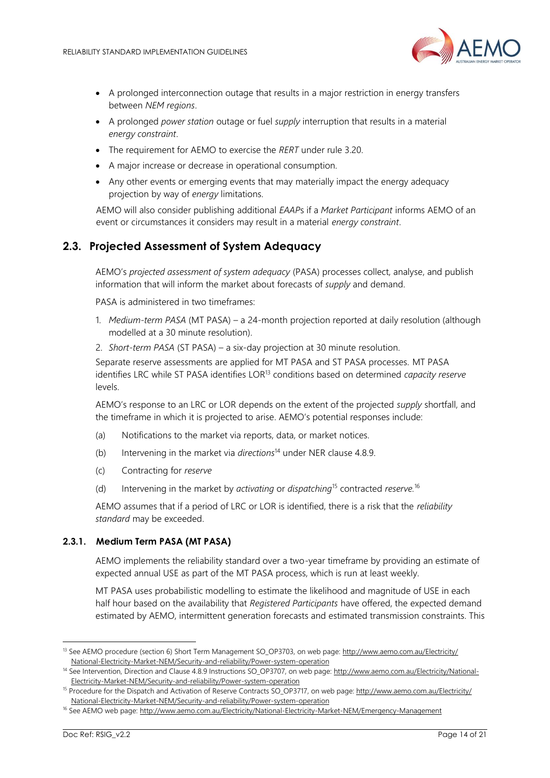

- A prolonged interconnection outage that results in a major restriction in energy transfers between *NEM regions*.
- A prolonged *power station* outage or fuel *supply* interruption that results in a material *energy constraint*.
- The requirement for AEMO to exercise the *RERT* under rule 3.20.
- A major increase or decrease in operational consumption.
- Any other events or emerging events that may materially impact the energy adequacy projection by way of *energy* limitations.

AEMO will also consider publishing additional *EAAP*s if a *Market Participant* informs AEMO of an event or circumstances it considers may result in a material *energy constraint*.

## <span id="page-13-0"></span>**2.3. Projected Assessment of System Adequacy**

AEMO's *projected assessment of system adequacy* (PASA) processes collect, analyse, and publish information that will inform the market about forecasts of *supply* and demand.

PASA is administered in two timeframes:

- 1. *Medium-term PASA* (MT PASA) a 24-month projection reported at daily resolution (although modelled at a 30 minute resolution).
- 2. *Short-term PASA* (ST PASA) a six-day projection at 30 minute resolution.

Separate reserve assessments are applied for MT PASA and ST PASA processes. MT PASA identifies LRC while ST PASA identifies LOR<sup>13</sup> conditions based on determined *capacity reserve* levels.

AEMO's response to an LRC or LOR depends on the extent of the projected *supply* shortfall, and the timeframe in which it is projected to arise. AEMO's potential responses include:

- (a) Notifications to the market via reports, data, or market notices.
- (b) Intervening in the market via *directions*<sup>14</sup> under NER clause 4.8.9.
- (c) Contracting for *reserve*
- (d) Intervening in the market by *activating* or *dispatching*<sup>15</sup> contracted *reserve.*<sup>16</sup>

AEMO assumes that if a period of LRC or LOR is identified, there is a risk that the *reliability standard* may be exceeded.

#### **2.3.1. Medium Term PASA (MT PASA)**

AEMO implements the reliability standard over a two-year timeframe by providing an estimate of expected annual USE as part of the MT PASA process, which is run at least weekly.

MT PASA uses probabilistic modelling to estimate the likelihood and magnitude of USE in each half hour based on the availability that *Registered Participants* have offered, the expected demand estimated by AEMO, intermittent generation forecasts and estimated transmission constraints. This

<sup>&</sup>lt;sup>13</sup> See AEMO procedure (section 6) Short Term Management SO\_OP3703, on web page[: http://www.aemo.com.au/Electricity/](http://www.aemo.com.au/Electricity/National-Electricity-Market-NEM/Security-and-reliability/Power-system-operation) [National-Electricity-Market-NEM/Security-and-reliability/Power-system-operation](http://www.aemo.com.au/Electricity/National-Electricity-Market-NEM/Security-and-reliability/Power-system-operation)

<sup>&</sup>lt;sup>14</sup> See Intervention, Direction and Clause 4.8.9 Instructions SO\_OP3707, on web page[: http://www.aemo.com.au/Electricity/National-](http://www.aemo.com.au/Electricity/National-Electricity-Market-NEM/Security-and-reliability/Power-system-operation)[Electricity-Market-NEM/Security-and-reliability/Power-system-operation](http://www.aemo.com.au/Electricity/National-Electricity-Market-NEM/Security-and-reliability/Power-system-operation)

<sup>&</sup>lt;sup>15</sup> Procedure for the Dispatch and Activation of Reserve Contracts SO\_OP3717, on web page[: http://www.aemo.com.au/Electricity/](http://www.aemo.com.au/Electricity/National-Electricity-Market-NEM/Security-and-reliability/Power-system-operation) [National-Electricity-Market-NEM/Security-and-reliability/Power-system-operation](http://www.aemo.com.au/Electricity/National-Electricity-Market-NEM/Security-and-reliability/Power-system-operation)

<sup>&</sup>lt;sup>16</sup> See AEMO web page[: http://www.aemo.com.au/Electricity/National-Electricity-Market-NEM/Emergency-Management](http://www.aemo.com.au/Electricity/National-Electricity-Market-NEM/Emergency-Management)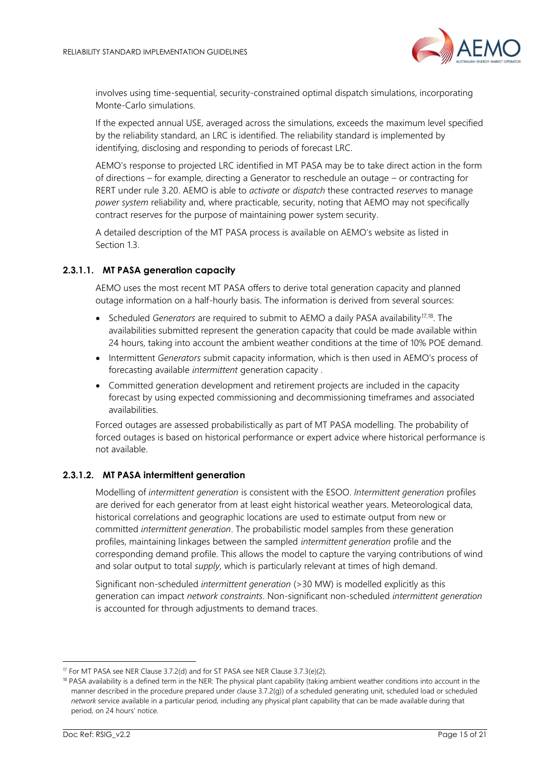

involves using time-sequential, security-constrained optimal dispatch simulations, incorporating Monte-Carlo simulations.

If the expected annual USE, averaged across the simulations, exceeds the maximum level specified by the reliability standard, an LRC is identified. The reliability standard is implemented by identifying, disclosing and responding to periods of forecast LRC.

AEMO's response to projected LRC identified in MT PASA may be to take direct action in the form of directions – for example, directing a Generator to reschedule an outage – or contracting for RERT under rule 3.20. AEMO is able to *activate* or *dispatch* these contracted *reserves* to manage *power system* reliability and, where practicable, security, noting that AEMO may not specifically contract reserves for the purpose of maintaining power system security.

A detailed description of the MT PASA process is available on AEMO's website as listed in Section 13

#### **2.3.1.1. MT PASA generation capacity**

AEMO uses the most recent MT PASA offers to derive total generation capacity and planned outage information on a half-hourly basis. The information is derived from several sources:

- Scheduled *Generators* are required to submit to AEMO a daily PASA availability<sup>17,18</sup>. The availabilities submitted represent the generation capacity that could be made available within 24 hours, taking into account the ambient weather conditions at the time of 10% POE demand.
- Intermittent *Generators* submit capacity information, which is then used in AEMO's process of forecasting available *intermittent* generation capacity .
- Committed generation development and retirement projects are included in the capacity forecast by using expected commissioning and decommissioning timeframes and associated availabilities.

Forced outages are assessed probabilistically as part of MT PASA modelling. The probability of forced outages is based on historical performance or expert advice where historical performance is not available.

#### **2.3.1.2. MT PASA intermittent generation**

Modelling of *intermittent generation* is consistent with the ESOO. *Intermittent generation* profiles are derived for each generator from at least eight historical weather years. Meteorological data, historical correlations and geographic locations are used to estimate output from new or committed *intermittent generation*. The probabilistic model samples from these generation profiles, maintaining linkages between the sampled *intermittent generation* profile and the corresponding demand profile. This allows the model to capture the varying contributions of wind and solar output to total *supply*, which is particularly relevant at times of high demand.

Significant non-scheduled *intermittent generation* (>30 MW) is modelled explicitly as this generation can impact *network constraints*. Non-significant non-scheduled *intermittent generation* is accounted for through adjustments to demand traces.

<sup>&</sup>lt;sup>17</sup> For MT PASA see NER Clause 3.7.2(d) and for ST PASA see NER Clause 3.7.3(e)(2).

<sup>&</sup>lt;sup>18</sup> PASA availability is a defined term in the NER: The physical plant capability (taking ambient weather conditions into account in the manner described in the procedure prepared under clause 3.7.2(g)) of a scheduled generating unit, scheduled load or scheduled *network* service available in a particular period, including any physical plant capability that can be made available during that period, on 24 hours' notice.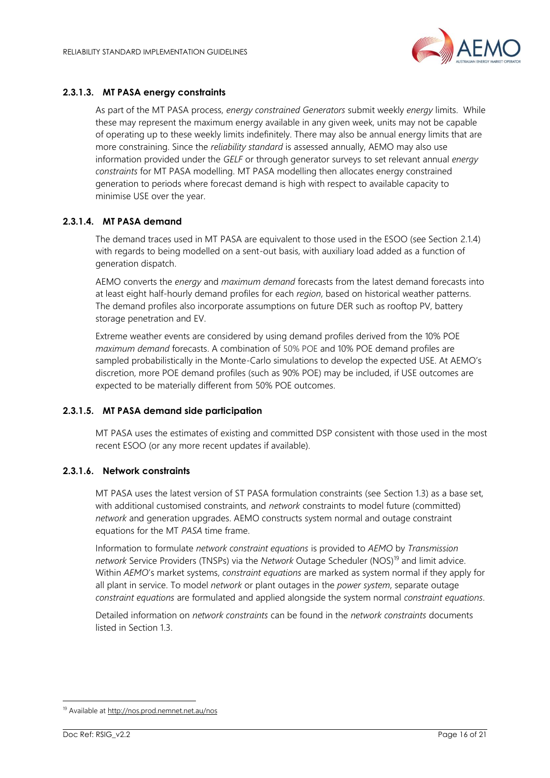

## **2.3.1.3. MT PASA energy constraints**

As part of the MT PASA process, *energy constrained Generators* submit weekly *energy* limits. While these may represent the maximum energy available in any given week, units may not be capable of operating up to these weekly limits indefinitely. There may also be annual energy limits that are more constraining. Since the *reliability standard* is assessed annually, AEMO may also use information provided under the *GELF* or through generator surveys to set relevant annual *energy constraints* for MT PASA modelling. MT PASA modelling then allocates energy constrained generation to periods where forecast demand is high with respect to available capacity to minimise USE over the year.

#### **2.3.1.4. MT PASA demand**

The demand traces used in MT PASA are equivalent to those used in the ESOO (see Section [2.1.4\)](#page-9-0) with regards to being modelled on a sent-out basis, with auxiliary load added as a function of generation dispatch.

AEMO converts the *energy* and *maximum demand* forecasts from the latest demand forecasts into at least eight half-hourly demand profiles for each *region*, based on historical weather patterns. The demand profiles also incorporate assumptions on future DER such as rooftop PV, battery storage penetration and EV.

Extreme weather events are considered by using demand profiles derived from the 10% POE *maximum demand* forecasts. A combination of 50% POE and 10% POE demand profiles are sampled probabilistically in the Monte-Carlo simulations to develop the expected USE. At AEMO's discretion, more POE demand profiles (such as 90% POE) may be included, if USE outcomes are expected to be materially different from 50% POE outcomes.

#### **2.3.1.5. MT PASA demand side participation**

MT PASA uses the estimates of existing and committed DSP consistent with those used in the most recent ESOO (or any more recent updates if available).

## **2.3.1.6. Network constraints**

MT PASA uses the latest version of ST PASA formulation constraints (see Section [1.3\)](#page-4-0) as a base set, with additional customised constraints, and *network* constraints to model future (committed) *network* and generation upgrades. AEMO constructs system normal and outage constraint equations for the MT *PASA* time frame.

Information to formulate *network constraint equations* is provided to *AEMO* by *Transmission network* Service Providers (TNSPs) via the *Network* Outage Scheduler (NOS)<sup>19</sup> and limit advice. Within *AEMO*'s market systems, *constraint equations* are marked as system normal if they apply for all plant in service. To model *network* or plant outages in the *power system*, separate outage *constraint equations* are formulated and applied alongside the system normal *constraint equations*.

Detailed information on *network constraints* can be found in the *network constraints* documents listed in Section [1.3.](#page-4-0)

<sup>19</sup> Available a[t http://nos.prod.nemnet.net.au/nos](http://nos.prod.nemnet.net.au/nos)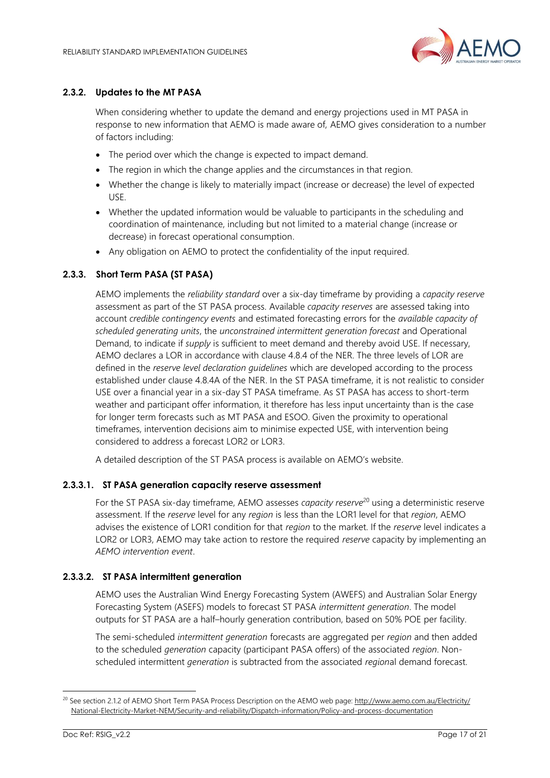

#### **2.3.2. Updates to the MT PASA**

When considering whether to update the demand and energy projections used in MT PASA in response to new information that AEMO is made aware of, AEMO gives consideration to a number of factors including:

- The period over which the change is expected to impact demand.
- The region in which the change applies and the circumstances in that region.
- Whether the change is likely to materially impact (increase or decrease) the level of expected USE.
- Whether the updated information would be valuable to participants in the scheduling and coordination of maintenance, including but not limited to a material change (increase or decrease) in forecast operational consumption.
- Any obligation on AEMO to protect the confidentiality of the input required.

#### **2.3.3. Short Term PASA (ST PASA)**

AEMO implements the *reliability standard* over a six-day timeframe by providing a *capacity reserve* assessment as part of the ST PASA process. Available *capacity reserves* are assessed taking into account *credible contingency events* and estimated forecasting errors for the *available capacity of scheduled generating units*, the *unconstrained intermittent generation forecast* and Operational Demand, to indicate if *supply* is sufficient to meet demand and thereby avoid USE. If necessary, AEMO declares a LOR in accordance with clause 4.8.4 of the NER. The three levels of LOR are defined in the *reserve level declaration guidelines* which are developed according to the process established under clause 4.8.4A of the NER. In the ST PASA timeframe, it is not realistic to consider USE over a financial year in a six-day ST PASA timeframe. As ST PASA has access to short-term weather and participant offer information, it therefore has less input uncertainty than is the case for longer term forecasts such as MT PASA and ESOO. Given the proximity to operational timeframes, intervention decisions aim to minimise expected USE, with intervention being considered to address a forecast LOR2 or LOR3.

A detailed description of the ST PASA process is available on AEMO's website.

#### **2.3.3.1. ST PASA generation capacity reserve assessment**

For the ST PASA six-day timeframe, AEMO assesses *capacity reserve*<sup>20</sup> using a deterministic reserve assessment. If the *reserve* level for any *region* is less than the LOR1 level for that *region*, AEMO advises the existence of LOR1 condition for that *region* to the market. If the *reserve* level indicates a LOR2 or LOR3, AEMO may take action to restore the required *reserve* capacity by implementing an *AEMO intervention event*.

#### **2.3.3.2. ST PASA intermittent generation**

AEMO uses the Australian Wind Energy Forecasting System (AWEFS) and Australian Solar Energy Forecasting System (ASEFS) models to forecast ST PASA *intermittent generation*. The model outputs for ST PASA are a half–hourly generation contribution, based on 50% POE per facility.

The semi-scheduled *intermittent generation* forecasts are aggregated per *region* and then added to the scheduled *generation* capacity (participant PASA offers) of the associated *region*. Nonscheduled intermittent *generation* is subtracted from the associated *region*al demand forecast.

<sup>&</sup>lt;sup>20</sup> See section 2.1.2 of AEMO Short Term PASA Process Description on the AEMO web page: [http://www.aemo.com.au/Electricity/](http://www.aemo.com.au/Electricity/National-Electricity-Market-NEM/Security-and-reliability/Dispatch-information/Policy-and-process-documentation) [National-Electricity-Market-NEM/Security-and-reliability/Dispatch-information/Policy-and-process-documentation](http://www.aemo.com.au/Electricity/National-Electricity-Market-NEM/Security-and-reliability/Dispatch-information/Policy-and-process-documentation)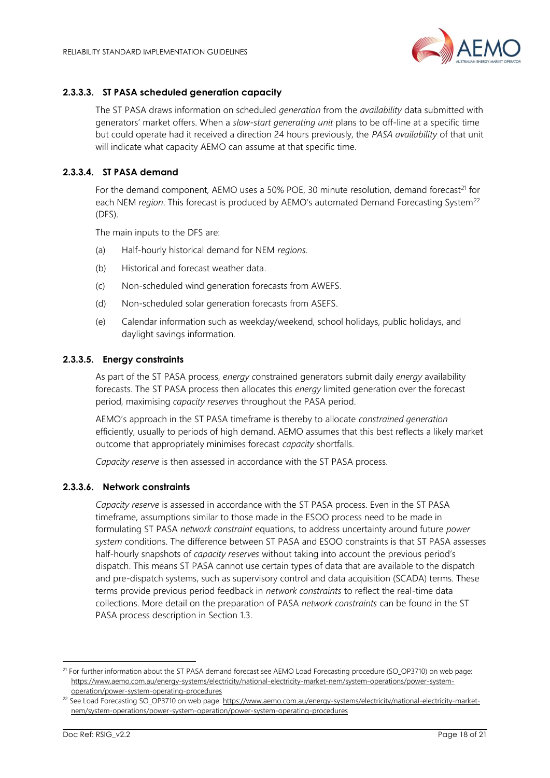

#### **2.3.3.3. ST PASA scheduled generation capacity**

The ST PASA draws information on scheduled *generation* from the *availability* data submitted with generators' market offers. When a *slow-start generating unit* plans to be off-line at a specific time but could operate had it received a direction 24 hours previously, the *PASA availability* of that unit will indicate what capacity AEMO can assume at that specific time.

#### **2.3.3.4. ST PASA demand**

For the demand component, AEMO uses a 50% POE, 30 minute resolution, demand forecast<sup>21</sup> for each NEM *region*. This forecast is produced by AEMO's automated Demand Forecasting System<sup>22</sup> (DFS).

The main inputs to the DFS are:

- (a) Half-hourly historical demand for NEM *regions*.
- (b) Historical and forecast weather data.
- (c) Non-scheduled wind generation forecasts from AWEFS.
- (d) Non-scheduled solar generation forecasts from ASEFS.
- (e) Calendar information such as weekday/weekend, school holidays, public holidays, and daylight savings information.

#### **2.3.3.5. Energy constraints**

As part of the ST PASA process, *energy c*onstrained generators submit daily *energy* availability forecasts. The ST PASA process then allocates this *energy* limited generation over the forecast period, maximising *capacity reserves* throughout the PASA period.

AEMO's approach in the ST PASA timeframe is thereby to allocate *constrained generation* efficiently, usually to periods of high demand. AEMO assumes that this best reflects a likely market outcome that appropriately minimises forecast *capacity* shortfalls.

*Capacity reserve* is then assessed in accordance with the ST PASA process.

#### **2.3.3.6. Network constraints**

*Capacity reserve* is assessed in accordance with the ST PASA process. Even in the ST PASA timeframe, assumptions similar to those made in the ESOO process need to be made in formulating ST PASA *network constraint* equations, to address uncertainty around future *power system* conditions. The difference between ST PASA and ESOO constraints is that ST PASA assesses half-hourly snapshots of *capacity reserves* without taking into account the previous period's dispatch. This means ST PASA cannot use certain types of data that are available to the dispatch and pre-dispatch systems, such as supervisory control and data acquisition (SCADA) terms. These terms provide previous period feedback in *network constraints* to reflect the real-time data collections. More detail on the preparation of PASA *network constraints* can be found in the ST PASA process description in Section [1.3.](#page-4-0)

<sup>&</sup>lt;sup>21</sup> For further information about the ST PASA demand forecast see AEMO Load Forecasting procedure (SO\_OP3710) on web page: [https://www.aemo.com.au/energy-systems/electricity/national-electricity-market-nem/system-operations/power-system](https://www.aemo.com.au/energy-systems/electricity/national-electricity-market-nem/system-operations/power-system-operation/power-system-operating-procedures)[operation/power-system-operating-procedures](https://www.aemo.com.au/energy-systems/electricity/national-electricity-market-nem/system-operations/power-system-operation/power-system-operating-procedures)

<sup>&</sup>lt;sup>22</sup> See Load Forecasting SO\_OP3710 on web page[: https://www.aemo.com.au/energy-systems/electricity/national-electricity-market](https://www.aemo.com.au/energy-systems/electricity/national-electricity-market-nem/system-operations/power-system-operation/power-system-operating-procedures)[nem/system-operations/power-system-operation/power-system-operating-procedures](https://www.aemo.com.au/energy-systems/electricity/national-electricity-market-nem/system-operations/power-system-operation/power-system-operating-procedures)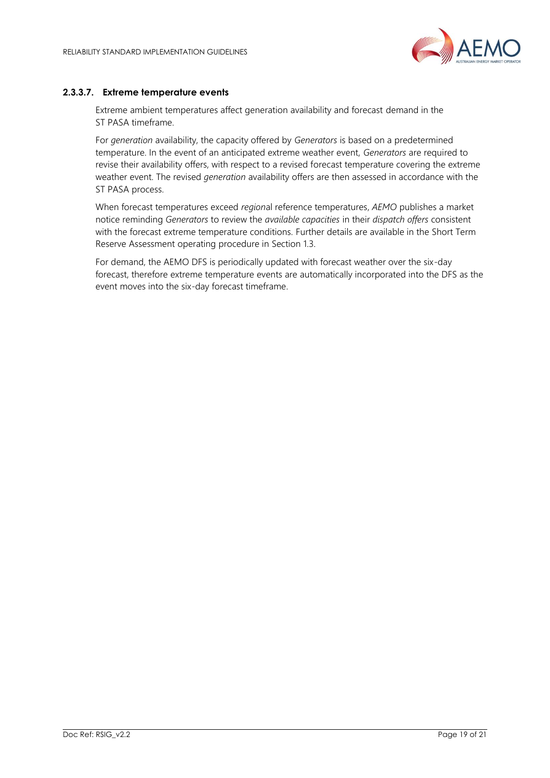

#### **2.3.3.7. Extreme temperature events**

Extreme ambient temperatures affect generation availability and forecast demand in the ST PASA timeframe.

For *generation* availability, the capacity offered by *Generators* is based on a predetermined temperature. In the event of an anticipated extreme weather event, *Generators* are required to revise their availability offers, with respect to a revised forecast temperature covering the extreme weather event. The revised *generation* availability offers are then assessed in accordance with the ST PASA process.

When forecast temperatures exceed *region*al reference temperatures, *AEMO* publishes a market notice reminding *Generators* to review the *available capacities* in their *dispatch offers* consistent with the forecast extreme temperature conditions. Further details are available in the Short Term Reserve Assessment operating procedure in Section [1.3.](#page-4-0)

For demand, the AEMO DFS is periodically updated with forecast weather over the six-day forecast, therefore extreme temperature events are automatically incorporated into the DFS as the event moves into the six-day forecast timeframe.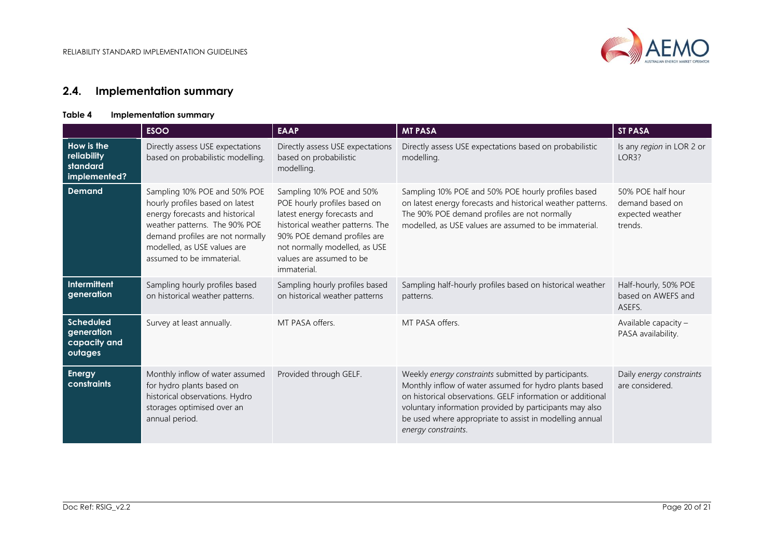

## **2.4. Implementation summary**

#### **Table 4 Implementation summary**

<span id="page-19-1"></span><span id="page-19-0"></span>

|                                                           | <b>ESOO</b>                                                                                                                                                                                                                         | <b>EAAP</b>                                                                                                                                                                                                                            | <b>MT PASA</b>                                                                                                                                                                                                                                                                                                            | <b>ST PASA</b>                                                      |
|-----------------------------------------------------------|-------------------------------------------------------------------------------------------------------------------------------------------------------------------------------------------------------------------------------------|----------------------------------------------------------------------------------------------------------------------------------------------------------------------------------------------------------------------------------------|---------------------------------------------------------------------------------------------------------------------------------------------------------------------------------------------------------------------------------------------------------------------------------------------------------------------------|---------------------------------------------------------------------|
| How is the<br>reliability<br>standard<br>implemented?     | Directly assess USE expectations<br>based on probabilistic modelling.                                                                                                                                                               | Directly assess USE expectations<br>based on probabilistic<br>modelling.                                                                                                                                                               | Directly assess USE expectations based on probabilistic<br>modelling.                                                                                                                                                                                                                                                     | Is any region in LOR 2 or<br>LOR3?                                  |
| <b>Demand</b>                                             | Sampling 10% POE and 50% POE<br>hourly profiles based on latest<br>energy forecasts and historical<br>weather patterns. The 90% POE<br>demand profiles are not normally<br>modelled, as USE values are<br>assumed to be immaterial. | Sampling 10% POE and 50%<br>POE hourly profiles based on<br>latest energy forecasts and<br>historical weather patterns. The<br>90% POE demand profiles are<br>not normally modelled, as USE<br>values are assumed to be<br>immaterial. | Sampling 10% POE and 50% POE hourly profiles based<br>on latest energy forecasts and historical weather patterns.<br>The 90% POE demand profiles are not normally<br>modelled, as USE values are assumed to be immaterial.                                                                                                | 50% POE half hour<br>demand based on<br>expected weather<br>trends. |
| <b>Intermittent</b><br>generation                         | Sampling hourly profiles based<br>on historical weather patterns.                                                                                                                                                                   | Sampling hourly profiles based<br>on historical weather patterns                                                                                                                                                                       | Sampling half-hourly profiles based on historical weather<br>patterns.                                                                                                                                                                                                                                                    | Half-hourly, 50% POE<br>based on AWEFS and<br>ASEFS.                |
| <b>Scheduled</b><br>generation<br>capacity and<br>outages | Survey at least annually.                                                                                                                                                                                                           | MT PASA offers.                                                                                                                                                                                                                        | MT PASA offers.                                                                                                                                                                                                                                                                                                           | Available capacity -<br>PASA availability.                          |
| <b>Energy</b><br>constraints                              | Monthly inflow of water assumed<br>for hydro plants based on<br>historical observations. Hydro<br>storages optimised over an<br>annual period.                                                                                      | Provided through GELF.                                                                                                                                                                                                                 | Weekly energy constraints submitted by participants.<br>Monthly inflow of water assumed for hydro plants based<br>on historical observations. GELF information or additional<br>voluntary information provided by participants may also<br>be used where appropriate to assist in modelling annual<br>energy constraints. | Daily energy constraints<br>are considered.                         |